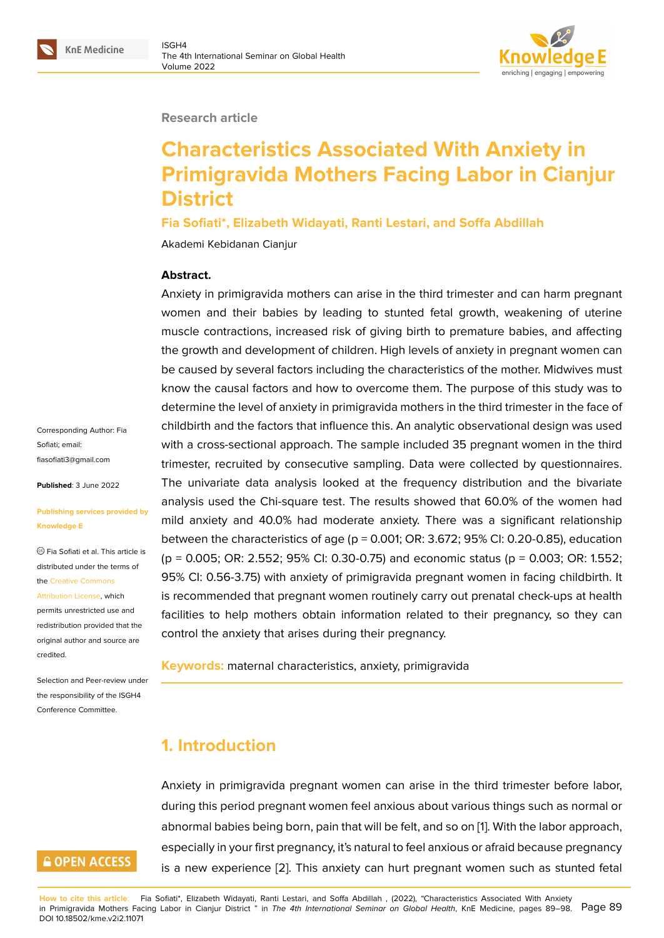#### **Research article**

# **Characteristics Associated With Anxiety in Primigravida Mothers Facing Labor in Cianjur District**

**Fia Sofiati\*, Elizabeth Widayati, Ranti Lestari, and Soffa Abdillah**

Akademi Kebidanan Cianjur

#### **Abstract.**

Anxiety in primigravida mothers can arise in the third trimester and can harm pregnant women and their babies by leading to stunted fetal growth, weakening of uterine muscle contractions, increased risk of giving birth to premature babies, and affecting the growth and development of children. High levels of anxiety in pregnant women can be caused by several factors including the characteristics of the mother. Midwives must know the causal factors and how to overcome them. The purpose of this study was to determine the level of anxiety in primigravida mothers in the third trimester in the face of childbirth and the factors that influence this. An analytic observational design was used with a cross-sectional approach. The sample included 35 pregnant women in the third trimester, recruited by consecutive sampling. Data were collected by questionnaires. The univariate data analysis looked at the frequency distribution and the bivariate analysis used the Chi-square test. The results showed that 60.0% of the women had mild anxiety and 40.0% had moderate anxiety. There was a significant relationship between the characteristics of age ( $p = 0.001$ ; OR: 3.672; 95% CI: 0.20-0.85), education (p = 0.005; OR: 2.552; 95% CI: 0.30-0.75) and economic status (p = 0.003; OR: 1.552; 95% CI: 0.56-3.75) with anxiety of primigravida pregnant women in facing childbirth. It is recommended that pregnant women routinely carry out prenatal check-ups at health facilities to help mothers obtain information related to their pregnancy, so they can control the anxiety that arises during their pregnancy.

**Keywords:** maternal characteristics, anxiety, primigravida

## **1. Introduction**

Anxiety in primigravida pregnant women can arise in the third trimester before labor, during this period pregnant women feel anxious about various things such as normal or abnormal babies being born, pain that will be felt, and so on [1]. With the labor approach, especially in your first pregnancy, it's natural to feel anxious or afraid because pregnancy is a new experience [2]. This anxiety can hurt pregnant women such as stunted fetal

Corresponding Author: Fia Sofiati; email: fiasofiati3@gmail.com

**Published**: 3 June 2022

#### **[Publishing services p](mailto:fiasofiati3@gmail.com)rovided by Knowledge E**

Fia Sofiati et al. This article is distributed under the terms of the Creative Commons

Attribution License, which

permits unrestricted use and redistribution provided that the orig[inal author and sou](https://creativecommons.org/licenses/by/4.0/)rce are [credited.](https://creativecommons.org/licenses/by/4.0/)

Selection and Peer-review under the responsibility of the ISGH4 Conference Committee.

## **GOPEN ACCESS**

**How to cite this article**: Fia Sofiati\*, Elizabeth Widayati, Ranti Lestari, and Soffa Abdillah , (2022), "Characteristics Associated With Anxiety in Primigravida Mothers Facing Labor in Cianjur District " in *The 4th International Seminar on Global Health*, KnE Medicine, pages 89–98. DOI 10.18502/kme.v2i2.11071 Page 89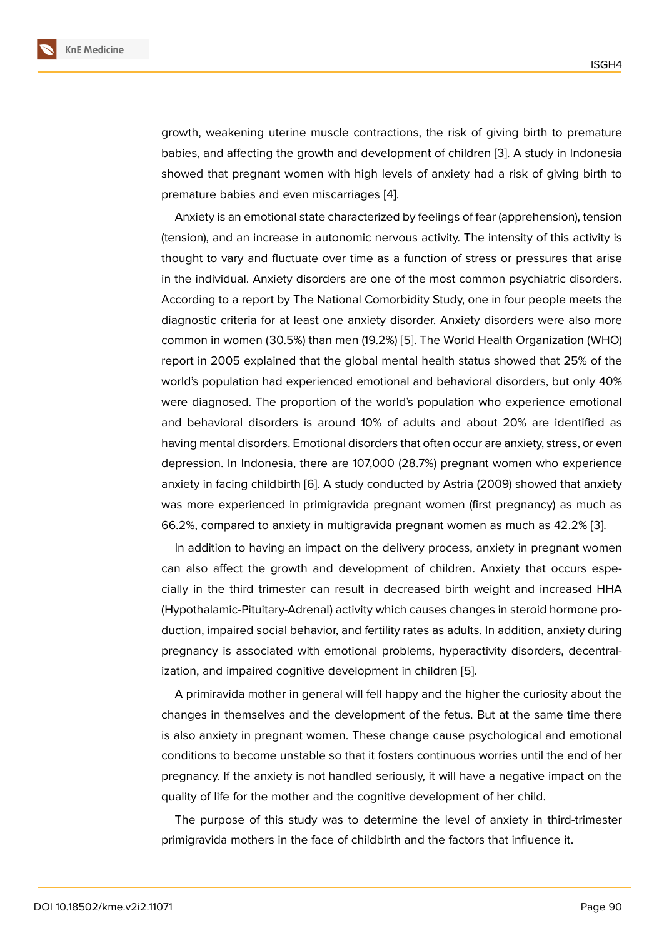growth, weakening uterine muscle contractions, the risk of giving birth to premature babies, and affecting the growth and development of children [3]. A study in Indonesia showed that pregnant women with high levels of anxiety had a risk of giving birth to premature babies and even miscarriages [4].

Anxiety is an emotional state characterized by feelings of fear [\(a](#page-9-0)pprehension), tension (tension), and an increase in autonomic nervous activity. The intensity of this activity is thought to vary and fluctuate over time a[s](#page-9-1) a function of stress or pressures that arise in the individual. Anxiety disorders are one of the most common psychiatric disorders. According to a report by The National Comorbidity Study, one in four people meets the diagnostic criteria for at least one anxiety disorder. Anxiety disorders were also more common in women (30.5%) than men (19.2%) [5]. The World Health Organization (WHO) report in 2005 explained that the global mental health status showed that 25% of the world's population had experienced emotional and behavioral disorders, but only 40% were diagnosed. The proportion of the worl[d's](#page-9-2) population who experience emotional and behavioral disorders is around 10% of adults and about 20% are identified as having mental disorders. Emotional disorders that often occur are anxiety, stress, or even depression. In Indonesia, there are 107,000 (28.7%) pregnant women who experience anxiety in facing childbirth [6]. A study conducted by Astria (2009) showed that anxiety was more experienced in primigravida pregnant women (first pregnancy) as much as 66.2%, compared to anxiety in multigravida pregnant women as much as 42.2% [3].

In addition to having an [im](#page-9-3)pact on the delivery process, anxiety in pregnant women can also affect the growth and development of children. Anxiety that occurs especially in the third trimester can result in decreased birth weight and increased [H](#page-9-0)HA (Hypothalamic-Pituitary-Adrenal) activity which causes changes in steroid hormone production, impaired social behavior, and fertility rates as adults. In addition, anxiety during pregnancy is associated with emotional problems, hyperactivity disorders, decentralization, and impaired cognitive development in children [5].

A primiravida mother in general will fell happy and the higher the curiosity about the changes in themselves and the development of the fetus. But at the same time there is also anxiety in pregnant women. These change caus[e p](#page-9-2)sychological and emotional conditions to become unstable so that it fosters continuous worries until the end of her pregnancy. If the anxiety is not handled seriously, it will have a negative impact on the quality of life for the mother and the cognitive development of her child.

The purpose of this study was to determine the level of anxiety in third-trimester primigravida mothers in the face of childbirth and the factors that influence it.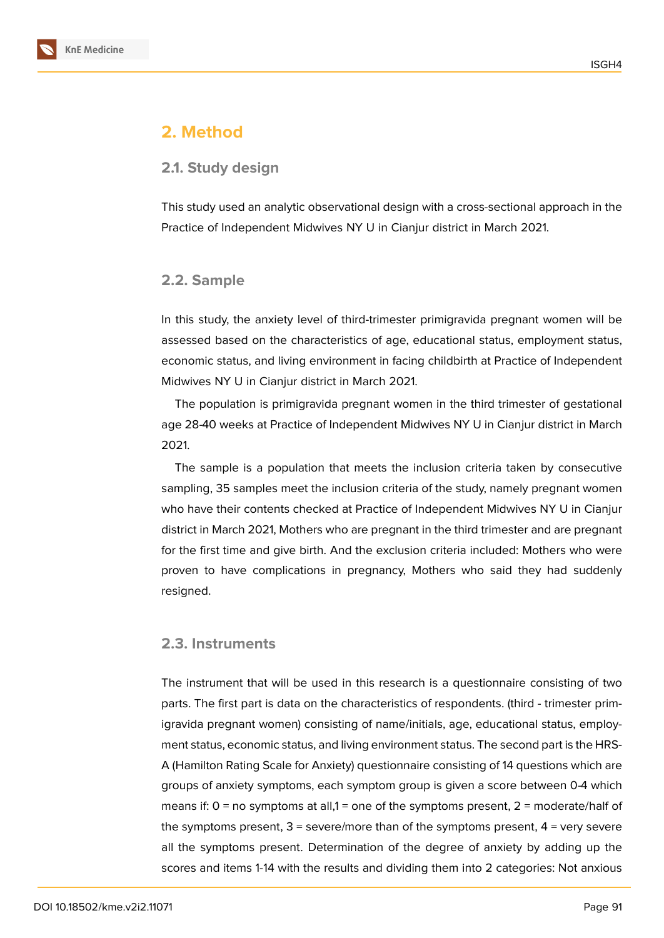

## **2. Method**

#### **2.1. Study design**

This study used an analytic observational design with a cross-sectional approach in the Practice of Independent Midwives NY U in Cianjur district in March 2021.

#### **2.2. Sample**

In this study, the anxiety level of third-trimester primigravida pregnant women will be assessed based on the characteristics of age, educational status, employment status, economic status, and living environment in facing childbirth at Practice of Independent Midwives NY U in Cianjur district in March 2021.

The population is primigravida pregnant women in the third trimester of gestational age 28-40 weeks at Practice of Independent Midwives NY U in Cianjur district in March 2021.

The sample is a population that meets the inclusion criteria taken by consecutive sampling, 35 samples meet the inclusion criteria of the study, namely pregnant women who have their contents checked at Practice of Independent Midwives NY U in Cianjur district in March 2021, Mothers who are pregnant in the third trimester and are pregnant for the first time and give birth. And the exclusion criteria included: Mothers who were proven to have complications in pregnancy, Mothers who said they had suddenly resigned.

#### **2.3. Instruments**

The instrument that will be used in this research is a questionnaire consisting of two parts. The first part is data on the characteristics of respondents. (third - trimester primigravida pregnant women) consisting of name/initials, age, educational status, employment status, economic status, and living environment status. The second part is the HRS-A (Hamilton Rating Scale for Anxiety) questionnaire consisting of 14 questions which are groups of anxiety symptoms, each symptom group is given a score between 0-4 which means if:  $0 =$  no symptoms at all,1 = one of the symptoms present,  $2 =$  moderate/half of the symptoms present,  $3$  = severe/more than of the symptoms present,  $4$  = very severe all the symptoms present. Determination of the degree of anxiety by adding up the scores and items 1-14 with the results and dividing them into 2 categories: Not anxious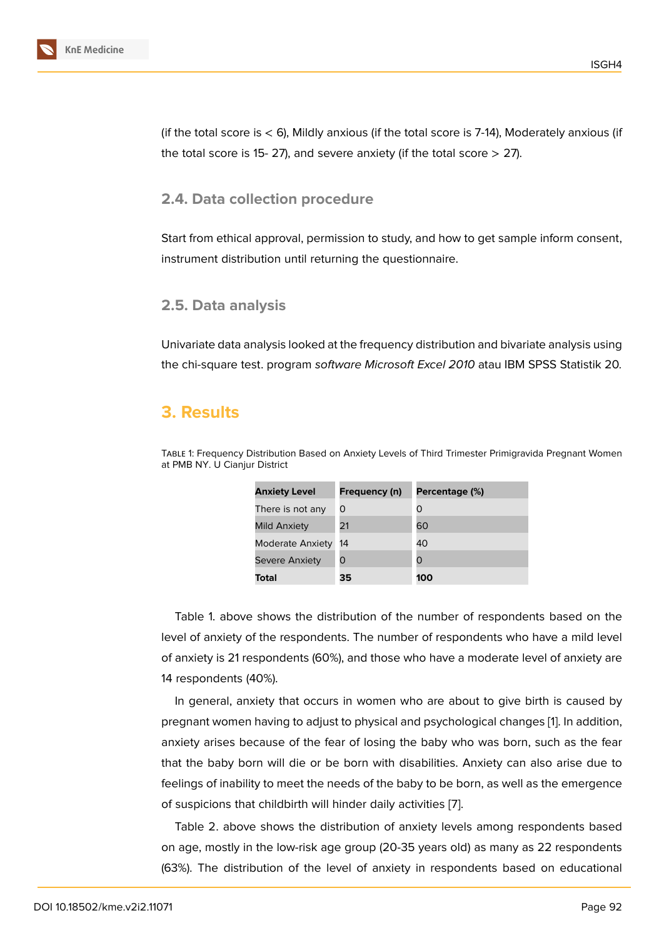(if the total score is  $<$  6), Mildly anxious (if the total score is 7-14), Moderately anxious (if the total score is 15-27), and severe anxiety (if the total score  $>$  27).

#### **2.4. Data collection procedure**

Start from ethical approval, permission to study, and how to get sample inform consent, instrument distribution until returning the questionnaire.

#### **2.5. Data analysis**

Univariate data analysis looked at the frequency distribution and bivariate analysis using the chi-square test. program *software Microsoft Excel 2010* atau IBM SPSS Statistik 20*.*

## **3. Results**

Table 1: Frequency Distribution Based on Anxiety Levels of Third Trimester Primigravida Pregnant Women at PMB NY. U Cianjur District

| <b>Anxiety Level</b>    | Frequency (n) | Percentage (%) |
|-------------------------|---------------|----------------|
| There is not any        | Ω             | O              |
| <b>Mild Anxiety</b>     | 21            | 60             |
| <b>Moderate Anxiety</b> | 14            | 40             |
| <b>Severe Anxiety</b>   | O             | O              |
| Total                   | 35            | 100            |

Table 1. above shows the distribution of the number of respondents based on the level of anxiety of the respondents. The number of respondents who have a mild level of anxiety is 21 respondents (60%), and those who have a moderate level of anxiety are 14 respondents (40%).

In general, anxiety that occurs in women who are about to give birth is caused by pregnant women having to adjust to physical and psychological changes [1]. In addition, anxiety arises because of the fear of losing the baby who was born, such as the fear that the baby born will die or be born with disabilities. Anxiety can also arise due to feelings of inability to meet the needs of the baby to be born, as well as t[he](#page-8-0) emergence of suspicions that childbirth will hinder daily activities [7].

Table 2. above shows the distribution of anxiety levels among respondents based on age, mostly in the low-risk age group (20-35 years old) as many as 22 respondents (63%). The distribution of the level of anxiety in res[po](#page-9-4)ndents based on educational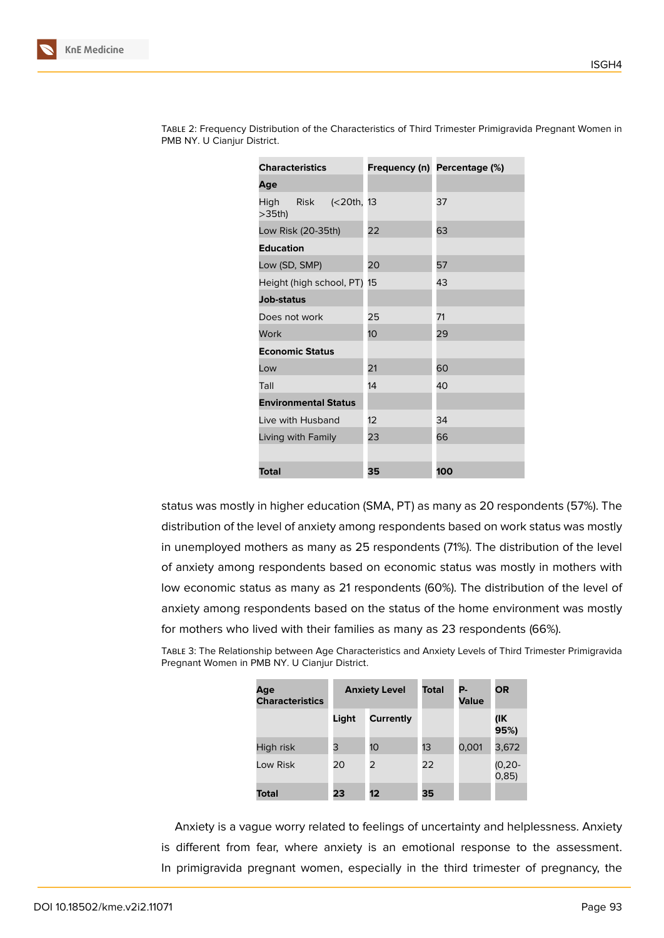| <b>Characteristics</b>            |    | Frequency (n) Percentage (%) |  |
|-----------------------------------|----|------------------------------|--|
| Age                               |    |                              |  |
| High Risk (<20th, 13<br>$>35th$ ) |    | 37                           |  |
| Low Risk (20-35th)                | 22 | 63                           |  |
| <b>Education</b>                  |    |                              |  |
| Low (SD, SMP)                     | 20 | 57                           |  |
| Height (high school, PT) 15       |    | 43                           |  |
| <b>Job-status</b>                 |    |                              |  |
| Does not work                     | 25 | 71                           |  |
| Work                              | 10 | 29                           |  |
| <b>Economic Status</b>            |    |                              |  |
| Low                               | 21 | 60                           |  |
| Tall                              | 14 | 40                           |  |
| <b>Environmental Status</b>       |    |                              |  |
| Live with Husband                 | 12 | 34                           |  |
| Living with Family                | 23 | 66                           |  |
|                                   |    |                              |  |
| Total                             | 35 | 100                          |  |

Table 2: Frequency Distribution of the Characteristics of Third Trimester Primigravida Pregnant Women in PMB NY. U Cianjur District.

status was mostly in higher education (SMA, PT) as many as 20 respondents (57%). The distribution of the level of anxiety among respondents based on work status was mostly in unemployed mothers as many as 25 respondents (71%). The distribution of the level of anxiety among respondents based on economic status was mostly in mothers with low economic status as many as 21 respondents (60%). The distribution of the level of anxiety among respondents based on the status of the home environment was mostly for mothers who lived with their families as many as 23 respondents (66%).

Table 3: The Relationship between Age Characteristics and Anxiety Levels of Third Trimester Primigravida Pregnant Women in PMB NY. U Cianjur District.

| Age<br><b>Characteristics</b> | <b>Anxiety Level</b> |                 | <b>Total</b> | Р.<br>Value | <b>OR</b>           |
|-------------------------------|----------------------|-----------------|--------------|-------------|---------------------|
|                               | Light                | Currently       |              |             | (IK<br>95%)         |
| High risk                     | 3                    | 10 <sup>1</sup> | 13           | 0,001       | 3,672               |
| Low Risk                      | 20                   | 2               | 22           |             | $(0, 20 -$<br>0,85) |
| Total                         | 23                   | 12              | 35           |             |                     |

Anxiety is a vague worry related to feelings of uncertainty and helplessness. Anxiety is different from fear, where anxiety is an emotional response to the assessment. In primigravida pregnant women, especially in the third trimester of pregnancy, the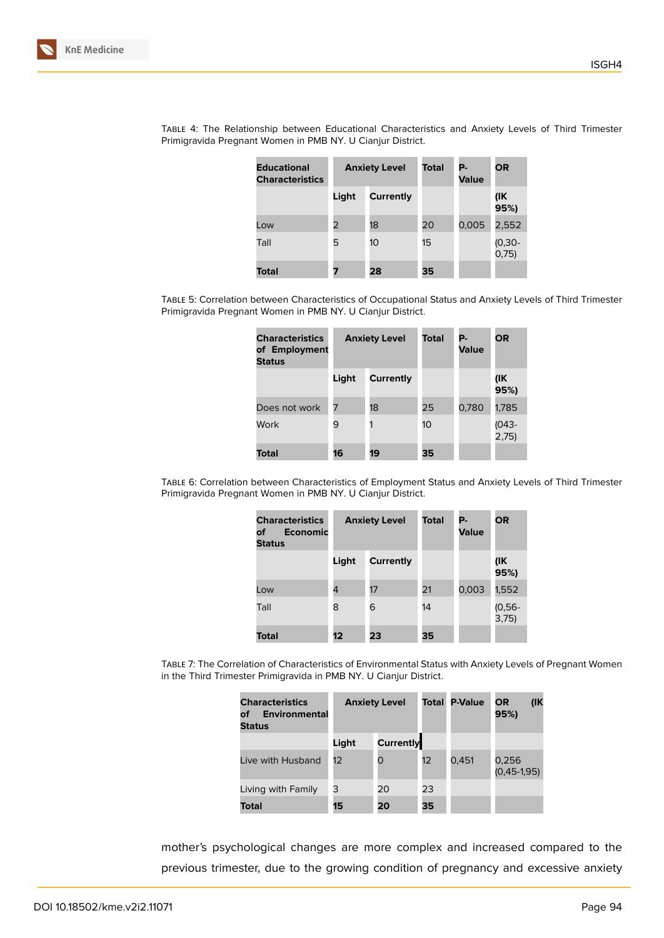| <b>Educational</b><br><b>Characteristics</b> | <b>Anxiety Level</b> |           | Total | Р.<br><b>Value</b> | OR              |
|----------------------------------------------|----------------------|-----------|-------|--------------------|-----------------|
|                                              | Light                | Currently |       |                    | (IK<br>95%)     |
| Low                                          | 2                    | 18        | 20    | 0,005              | 2,552           |
| Tall                                         | 5                    | 10        | 15    |                    | (0,30-<br>0,75) |
| Total                                        | 7                    | 28        | 35    |                    |                 |

Table 4: The Relationship between Educational Characteristics and Anxiety Levels of Third Trimester Primigravida Pregnant Women in PMB NY. U Cianjur District.

Table 5: Correlation between Characteristics of Occupational Status and Anxiety Levels of Third Trimester Primigravida Pregnant Women in PMB NY. U Cianjur District.

| <b>Characteristics</b><br>of Employment<br><b>Status</b> | <b>Anxiety Level</b> |           | Total | Р.<br>Value | <b>OR</b>      |
|----------------------------------------------------------|----------------------|-----------|-------|-------------|----------------|
|                                                          | Light                | Currently |       |             | (IK<br>95%)    |
| Does not work                                            | 7                    | 18        | 25    | 0,780       | 1,785          |
| Work                                                     | 9                    | 1         | 10    |             | (043-<br>2,75) |
| Total                                                    | 16                   | 19        | 35    |             |                |

Table 6: Correlation between Characteristics of Employment Status and Anxiety Levels of Third Trimester Primigravida Pregnant Women in PMB NY. U Cianjur District.

| <b>Characteristics</b><br><b>Economic</b><br>оf<br><b>Status</b> | <b>Anxiety Level</b> |                  | <b>Total</b> | Р.<br><b>Value</b> | <b>OR</b>       |
|------------------------------------------------------------------|----------------------|------------------|--------------|--------------------|-----------------|
|                                                                  | Light                | <b>Currently</b> |              |                    | (IK<br>95%)     |
| Low                                                              | 4                    | 17               | 21           | 0,003              | 1,552           |
| Tall                                                             | 8                    | 6                | 14           |                    | $(0,56 - 3,75)$ |
| Total                                                            | 12                   | 23               | 35           |                    |                 |

Table 7: The Correlation of Characteristics of Environmental Status with Anxiety Levels of Pregnant Women in the Third Trimester Primigravida in PMB NY. U Cianjur District.

| <b>Characteristics</b><br><b>Environmental</b><br>of<br><b>Status</b> | <b>Anxiety Level</b> |                  | Total | <b>P-Value</b> | $($ IK<br>OR<br>95%)     |
|-----------------------------------------------------------------------|----------------------|------------------|-------|----------------|--------------------------|
|                                                                       | Light                | <b>Currently</b> |       |                |                          |
| Live with Husband                                                     | 12                   | O                | 12    | 0,451          | 0,256<br>$(0, 45-1, 95)$ |
| Living with Family                                                    | 3                    | 20               | 23    |                |                          |
| <b>Total</b>                                                          | 15                   | 20               | 35    |                |                          |

mother's psychological changes are more complex and increased compared to the previous trimester, due to the growing condition of pregnancy and excessive anxiety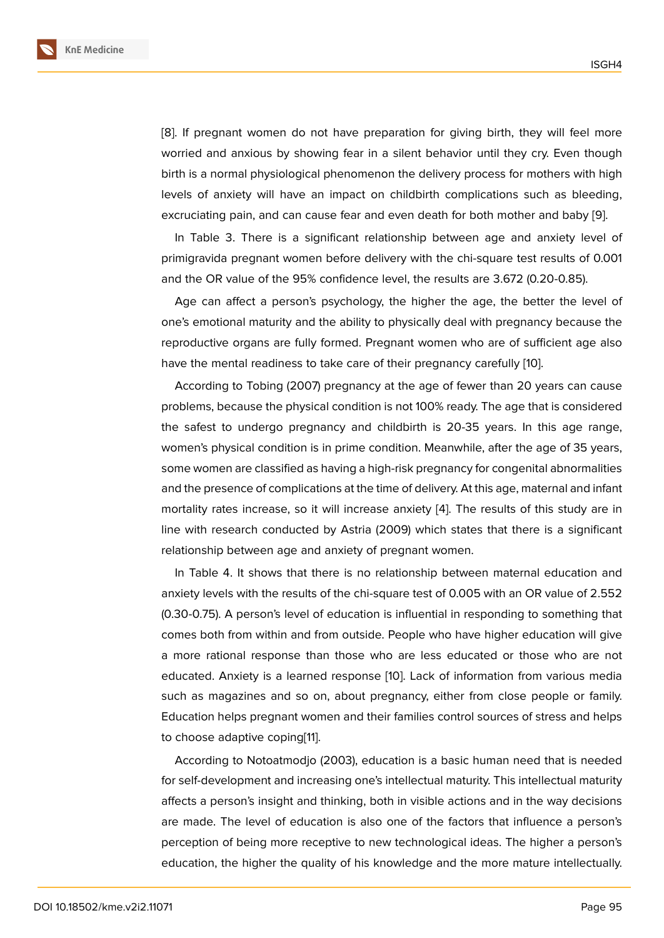[8]. If pregnant women do not have preparation for giving birth, they will feel more worried and anxious by showing fear in a silent behavior until they cry. Even though birth is a normal physiological phenomenon the delivery process for mothers with high l[ev](#page-9-5)els of anxiety will have an impact on childbirth complications such as bleeding, excruciating pain, and can cause fear and even death for both mother and baby [9].

In Table 3. There is a significant relationship between age and anxiety level of primigravida pregnant women before delivery with the chi-square test results of [0.](#page-9-6)001 and the OR value of the 95% confidence level, the results are 3.672 (0.20-0.85).

Age can affect a person's psychology, the higher the age, the better the level of one's emotional maturity and the ability to physically deal with pregnancy because the reproductive organs are fully formed. Pregnant women who are of sufficient age also have the mental readiness to take care of their pregnancy carefully [10].

According to Tobing (2007) pregnancy at the age of fewer than 20 years can cause problems, because the physical condition is not 100% ready. The age that is considered the safest to undergo pregnancy and childbirth is 20-35 years. I[n t](#page-9-7)his age range, women's physical condition is in prime condition. Meanwhile, after the age of 35 years, some women are classified as having a high-risk pregnancy for congenital abnormalities and the presence of complications at the time of delivery. At this age, maternal and infant mortality rates increase, so it will increase anxiety [4]. The results of this study are in line with research conducted by Astria (2009) which states that there is a significant relationship between age and anxiety of pregnant women.

In Table 4. It shows that there is no relationship [b](#page-9-1)etween maternal education and anxiety levels with the results of the chi-square test of 0.005 with an OR value of 2.552 (0.30-0.75). A person's level of education is influential in responding to something that comes both from within and from outside. People who have higher education will give a more rational response than those who are less educated or those who are not educated. Anxiety is a learned response [10]. Lack of information from various media such as magazines and so on, about pregnancy, either from close people or family. Education helps pregnant women and their families control sources of stress and helps to choose adaptive coping[11].

According to Notoatmodjo (2003), education is a basic human need that is needed for self-development and increasing one's intellectual maturity. This intellectual maturity affects a person's insight a[nd](#page-9-8) thinking, both in visible actions and in the way decisions are made. The level of education is also one of the factors that influence a person's perception of being more receptive to new technological ideas. The higher a person's education, the higher the quality of his knowledge and the more mature intellectually.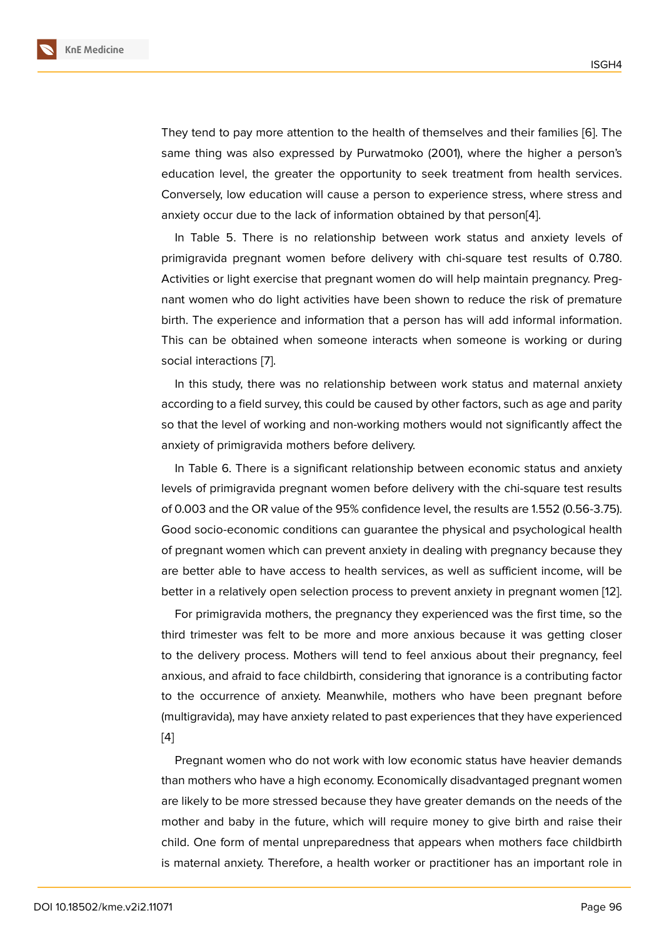They tend to pay more attention to the health of themselves and their families [6]. The same thing was also expressed by Purwatmoko (2001), where the higher a person's education level, the greater the opportunity to seek treatment from health services. Conversely, low education will cause a person to experience stress, where str[es](#page-9-3)s and anxiety occur due to the lack of information obtained by that person[4].

In Table 5. There is no relationship between work status and anxiety levels of primigravida pregnant women before delivery with chi-square test results of 0.780. Activities or light exercise that pregnant women do will help maintai[n p](#page-9-1)regnancy. Pregnant women who do light activities have been shown to reduce the risk of premature birth. The experience and information that a person has will add informal information. This can be obtained when someone interacts when someone is working or during social interactions [7].

In this study, there was no relationship between work status and maternal anxiety according to a field survey, this could be caused by other factors, such as age and parity so that the level of [w](#page-9-4)orking and non-working mothers would not significantly affect the anxiety of primigravida mothers before delivery.

In Table 6. There is a significant relationship between economic status and anxiety levels of primigravida pregnant women before delivery with the chi-square test results of 0.003 and the OR value of the 95% confidence level, the results are 1.552 (0.56-3.75). Good socio-economic conditions can guarantee the physical and psychological health of pregnant women which can prevent anxiety in dealing with pregnancy because they are better able to have access to health services, as well as sufficient income, will be better in a relatively open selection process to prevent anxiety in pregnant women [12].

For primigravida mothers, the pregnancy they experienced was the first time, so the third trimester was felt to be more and more anxious because it was getting closer to the delivery process. Mothers will tend to feel anxious about their pregnancy, [fee](#page-9-9)l anxious, and afraid to face childbirth, considering that ignorance is a contributing factor to the occurrence of anxiety. Meanwhile, mothers who have been pregnant before (multigravida), may have anxiety related to past experiences that they have experienced [4]

Pregnant women who do not work with low economic status have heavier demands than mothers who have a high economy. Economically disadvantaged pregnant women [ar](#page-9-1)e likely to be more stressed because they have greater demands on the needs of the mother and baby in the future, which will require money to give birth and raise their child. One form of mental unpreparedness that appears when mothers face childbirth is maternal anxiety. Therefore, a health worker or practitioner has an important role in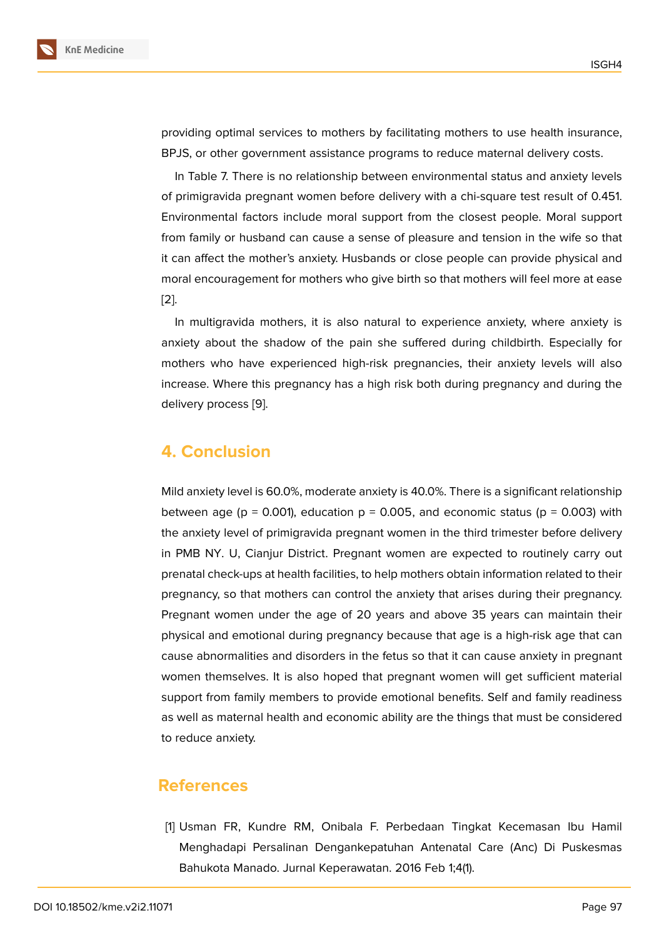providing optimal services to mothers by facilitating mothers to use health insurance, BPJS, or other government assistance programs to reduce maternal delivery costs.

In Table 7. There is no relationship between environmental status and anxiety levels of primigravida pregnant women before delivery with a chi-square test result of 0.451. Environmental factors include moral support from the closest people. Moral support from family or husband can cause a sense of pleasure and tension in the wife so that it can affect the mother's anxiety. Husbands or close people can provide physical and moral encouragement for mothers who give birth so that mothers will feel more at ease [2].

In multigravida mothers, it is also natural to experience anxiety, where anxiety is anxiety about the shadow of the pain she suffered during childbirth. Especially for [mo](#page-9-10)thers who have experienced high-risk pregnancies, their anxiety levels will also increase. Where this pregnancy has a high risk both during pregnancy and during the delivery process [9].

## **4. Conclusi[on](#page-9-6)**

Mild anxiety level is 60.0%, moderate anxiety is 40.0%. There is a significant relationship between age ( $p = 0.001$ ), education  $p = 0.005$ , and economic status ( $p = 0.003$ ) with the anxiety level of primigravida pregnant women in the third trimester before delivery in PMB NY. U, Cianjur District. Pregnant women are expected to routinely carry out prenatal check-ups at health facilities, to help mothers obtain information related to their pregnancy, so that mothers can control the anxiety that arises during their pregnancy. Pregnant women under the age of 20 years and above 35 years can maintain their physical and emotional during pregnancy because that age is a high-risk age that can cause abnormalities and disorders in the fetus so that it can cause anxiety in pregnant women themselves. It is also hoped that pregnant women will get sufficient material support from family members to provide emotional benefits. Self and family readiness as well as maternal health and economic ability are the things that must be considered to reduce anxiety.

### **References**

<span id="page-8-0"></span>[1] Usman FR, Kundre RM, Onibala F. Perbedaan Tingkat Kecemasan Ibu Hamil Menghadapi Persalinan Dengankepatuhan Antenatal Care (Anc) Di Puskesmas Bahukota Manado. Jurnal Keperawatan. 2016 Feb 1;4(1).